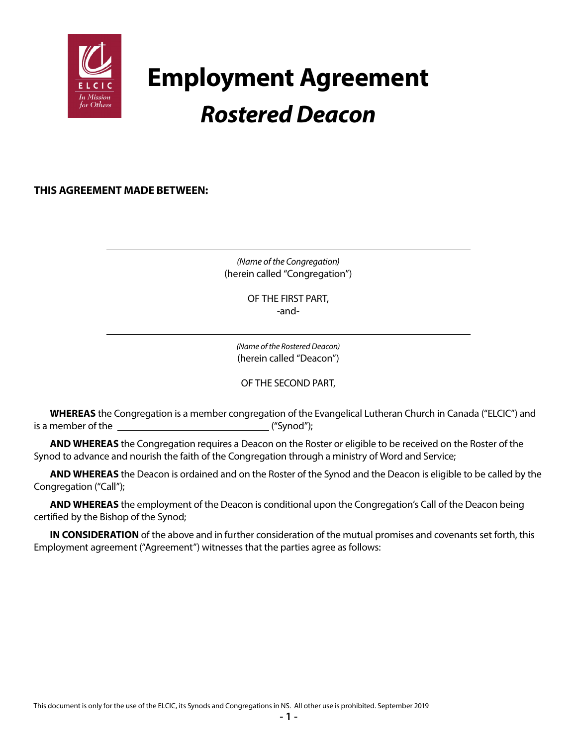

# **Employment Agreement** *Rostered Deacon*

**THIS AGREEMENT MADE BETWEEN:**

*(Name of the Congregation)* (herein called "Congregation")

> OF THE FIRST PART, -and-

*(Name of the Rostered Deacon)* (herein called "Deacon")

OF THE SECOND PART,

**WHEREAS** the Congregation is a member congregation of the Evangelical Lutheran Church in Canada ("ELCIC") and is a member of the  $\qquad \qquad$  ("Synod");

**AND WHEREAS** the Congregation requires a Deacon on the Roster or eligible to be received on the Roster of the Synod to advance and nourish the faith of the Congregation through a ministry of Word and Service;

**AND WHEREAS** the Deacon is ordained and on the Roster of the Synod and the Deacon is eligible to be called by the Congregation ("Call");

**AND WHEREAS** the employment of the Deacon is conditional upon the Congregation's Call of the Deacon being certified by the Bishop of the Synod;

**IN CONSIDERATION** of the above and in further consideration of the mutual promises and covenants set forth, this Employment agreement ("Agreement") witnesses that the parties agree as follows: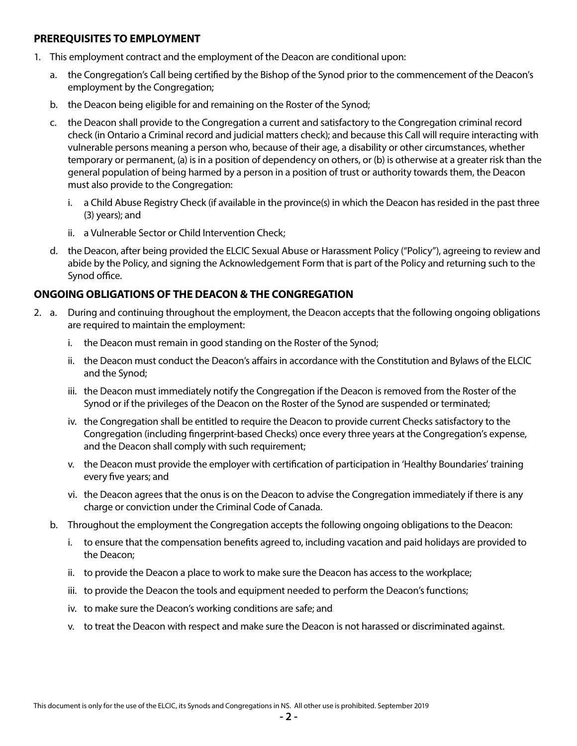#### **PREREQUISITES TO EMPLOYMENT**

- 1. This employment contract and the employment of the Deacon are conditional upon:
	- a. the Congregation's Call being certified by the Bishop of the Synod prior to the commencement of the Deacon's employment by the Congregation;
	- b. the Deacon being eligible for and remaining on the Roster of the Synod;
	- c. the Deacon shall provide to the Congregation a current and satisfactory to the Congregation criminal record check (in Ontario a Criminal record and judicial matters check); and because this Call will require interacting with vulnerable persons meaning a person who, because of their age, a disability or other circumstances, whether temporary or permanent, (a) is in a position of dependency on others, or (b) is otherwise at a greater risk than the general population of being harmed by a person in a position of trust or authority towards them, the Deacon must also provide to the Congregation:
		- i. a Child Abuse Registry Check (if available in the province(s) in which the Deacon has resided in the past three (3) years); and
		- ii. a Vulnerable Sector or Child Intervention Check;
	- d. the Deacon, after being provided the ELCIC Sexual Abuse or Harassment Policy ("Policy"), agreeing to review and abide by the Policy, and signing the Acknowledgement Form that is part of the Policy and returning such to the Synod office.

## **ONGOING OBLIGATIONS OF THE DEACON & THE CONGREGATION**

- 2. a. During and continuing throughout the employment, the Deacon accepts that the following ongoing obligations are required to maintain the employment:
	- i. the Deacon must remain in good standing on the Roster of the Synod;
	- ii. the Deacon must conduct the Deacon's affairs in accordance with the Constitution and Bylaws of the ELCIC and the Synod;
	- iii. the Deacon must immediately notify the Congregation if the Deacon is removed from the Roster of the Synod or if the privileges of the Deacon on the Roster of the Synod are suspended or terminated;
	- iv. the Congregation shall be entitled to require the Deacon to provide current Checks satisfactory to the Congregation (including fingerprint-based Checks) once every three years at the Congregation's expense, and the Deacon shall comply with such requirement;
	- v. the Deacon must provide the employer with certification of participation in 'Healthy Boundaries' training every five years; and
	- vi. the Deacon agrees that the onus is on the Deacon to advise the Congregation immediately if there is any charge or conviction under the Criminal Code of Canada.
	- b. Throughout the employment the Congregation accepts the following ongoing obligations to the Deacon:
		- i. to ensure that the compensation benefits agreed to, including vacation and paid holidays are provided to the Deacon;
		- ii. to provide the Deacon a place to work to make sure the Deacon has access to the workplace;
		- iii. to provide the Deacon the tools and equipment needed to perform the Deacon's functions;
		- iv. to make sure the Deacon's working conditions are safe; and
		- v. to treat the Deacon with respect and make sure the Deacon is not harassed or discriminated against.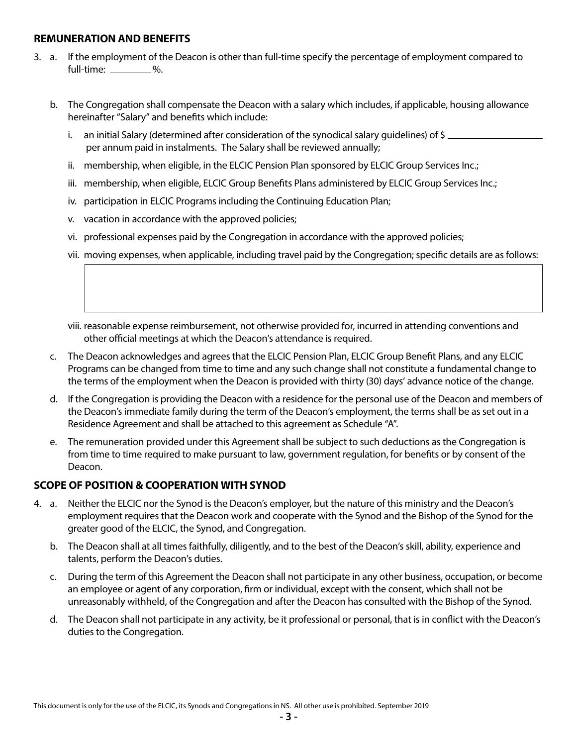#### **REMUNERATION AND BENEFITS**

- 3. a. If the employment of the Deacon is other than full-time specify the percentage of employment compared to full-time: 2%.
	- b. The Congregation shall compensate the Deacon with a salary which includes, if applicable, housing allowance hereinafter "Salary" and benefits which include:
		- i. an initial Salary (determined after consideration of the synodical salary quidelines) of \$ per annum paid in instalments. The Salary shall be reviewed annually;
		- ii. membership, when eligible, in the ELCIC Pension Plan sponsored by ELCIC Group Services Inc.;
		- iii. membership, when eligible, ELCIC Group Benefits Plans administered by ELCIC Group Services Inc.;
		- iv. participation in ELCIC Programs including the Continuing Education Plan;
		- v. vacation in accordance with the approved policies;
		- vi. professional expenses paid by the Congregation in accordance with the approved policies;
		- vii. moving expenses, when applicable, including travel paid by the Congregation; specific details are as follows:
		- viii. reasonable expense reimbursement, not otherwise provided for, incurred in attending conventions and other official meetings at which the Deacon's attendance is required.
	- c. The Deacon acknowledges and agrees that the ELCIC Pension Plan, ELCIC Group Benefit Plans, and any ELCIC Programs can be changed from time to time and any such change shall not constitute a fundamental change to the terms of the employment when the Deacon is provided with thirty (30) days' advance notice of the change.
	- d. If the Congregation is providing the Deacon with a residence for the personal use of the Deacon and members of the Deacon's immediate family during the term of the Deacon's employment, the terms shall be as set out in a Residence Agreement and shall be attached to this agreement as Schedule "A".
	- e. The remuneration provided under this Agreement shall be subject to such deductions as the Congregation is from time to time required to make pursuant to law, government regulation, for benefits or by consent of the Deacon.

#### **SCOPE OF POSITION & COOPERATION WITH SYNOD**

- 4. a. Neither the ELCIC nor the Synod is the Deacon's employer, but the nature of this ministry and the Deacon's employment requires that the Deacon work and cooperate with the Synod and the Bishop of the Synod for the greater good of the ELCIC, the Synod, and Congregation.
	- b. The Deacon shall at all times faithfully, diligently, and to the best of the Deacon's skill, ability, experience and talents, perform the Deacon's duties.
	- c. During the term of this Agreement the Deacon shall not participate in any other business, occupation, or become an employee or agent of any corporation, firm or individual, except with the consent, which shall not be unreasonably withheld, of the Congregation and after the Deacon has consulted with the Bishop of the Synod.
	- d. The Deacon shall not participate in any activity, be it professional or personal, that is in conflict with the Deacon's duties to the Congregation.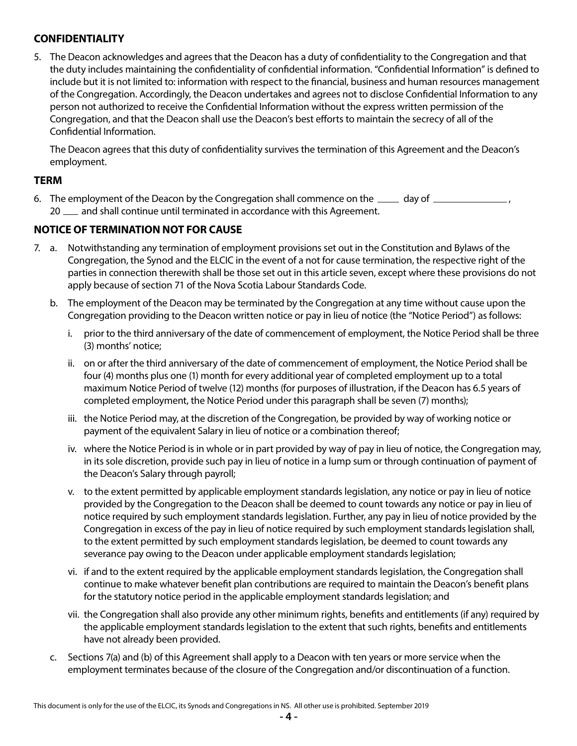# **CONFIDENTIALITY**

5. The Deacon acknowledges and agrees that the Deacon has a duty of confidentiality to the Congregation and that the duty includes maintaining the confidentiality of confidential information. "Confidential Information" is defined to include but it is not limited to: information with respect to the financial, business and human resources management of the Congregation. Accordingly, the Deacon undertakes and agrees not to disclose Confidential Information to any person not authorized to receive the Confidential Information without the express written permission of the Congregation, and that the Deacon shall use the Deacon's best efforts to maintain the secrecy of all of the Confidential Information.

The Deacon agrees that this duty of confidentiality survives the termination of this Agreement and the Deacon's employment.

#### **TERM**

6. The employment of the Deacon by the Congregation shall commence on the  $\_\_\_\_$  day of  $\_\_\_\_\_\_\_$ 20  $\mu$  and shall continue until terminated in accordance with this Agreement.

#### **NOTICE OF TERMINATION NOT FOR CAUSE**

- 7. a. Notwithstanding any termination of employment provisions set out in the Constitution and Bylaws of the Congregation, the Synod and the ELCIC in the event of a not for cause termination, the respective right of the parties in connection therewith shall be those set out in this article seven, except where these provisions do not apply because of section 71 of the Nova Scotia Labour Standards Code.
	- b. The employment of the Deacon may be terminated by the Congregation at any time without cause upon the Congregation providing to the Deacon written notice or pay in lieu of notice (the "Notice Period") as follows:
		- i. prior to the third anniversary of the date of commencement of employment, the Notice Period shall be three (3) months' notice;
		- ii. on or after the third anniversary of the date of commencement of employment, the Notice Period shall be four (4) months plus one (1) month for every additional year of completed employment up to a total maximum Notice Period of twelve (12) months (for purposes of illustration, if the Deacon has 6.5 years of completed employment, the Notice Period under this paragraph shall be seven (7) months);
		- iii. the Notice Period may, at the discretion of the Congregation, be provided by way of working notice or payment of the equivalent Salary in lieu of notice or a combination thereof;
		- iv. where the Notice Period is in whole or in part provided by way of pay in lieu of notice, the Congregation may, in its sole discretion, provide such pay in lieu of notice in a lump sum or through continuation of payment of the Deacon's Salary through payroll;
		- v. to the extent permitted by applicable employment standards legislation, any notice or pay in lieu of notice provided by the Congregation to the Deacon shall be deemed to count towards any notice or pay in lieu of notice required by such employment standards legislation. Further, any pay in lieu of notice provided by the Congregation in excess of the pay in lieu of notice required by such employment standards legislation shall, to the extent permitted by such employment standards legislation, be deemed to count towards any severance pay owing to the Deacon under applicable employment standards legislation;
		- vi. if and to the extent required by the applicable employment standards legislation, the Congregation shall continue to make whatever benefit plan contributions are required to maintain the Deacon's benefit plans for the statutory notice period in the applicable employment standards legislation; and
		- vii. the Congregation shall also provide any other minimum rights, benefits and entitlements (if any) required by the applicable employment standards legislation to the extent that such rights, benefits and entitlements have not already been provided.
	- c. Sections 7(a) and (b) of this Agreement shall apply to a Deacon with ten years or more service when the employment terminates because of the closure of the Congregation and/or discontinuation of a function.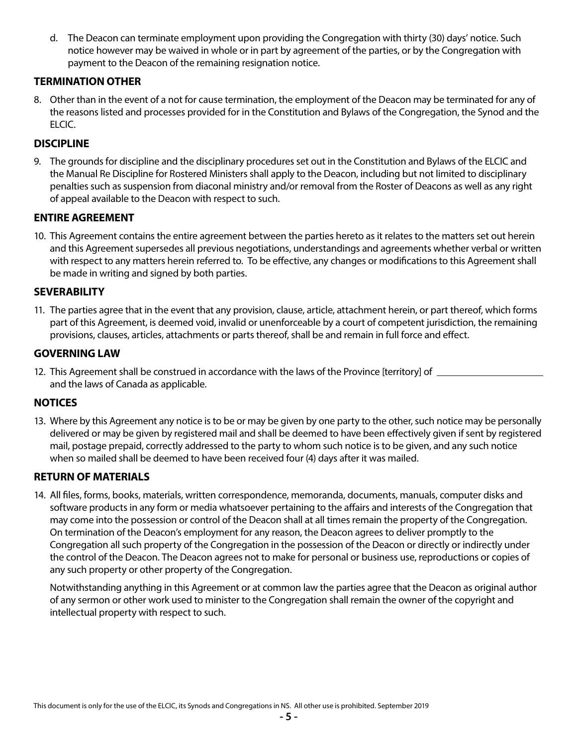d. The Deacon can terminate employment upon providing the Congregation with thirty (30) days' notice. Such notice however may be waived in whole or in part by agreement of the parties, or by the Congregation with payment to the Deacon of the remaining resignation notice.

# **TERMINATION OTHER**

8. Other than in the event of a not for cause termination, the employment of the Deacon may be terminated for any of the reasons listed and processes provided for in the Constitution and Bylaws of the Congregation, the Synod and the ELCIC.

# **DISCIPLINE**

9. The grounds for discipline and the disciplinary procedures set out in the Constitution and Bylaws of the ELCIC and the Manual Re Discipline for Rostered Ministers shall apply to the Deacon, including but not limited to disciplinary penalties such as suspension from diaconal ministry and/or removal from the Roster of Deacons as well as any right of appeal available to the Deacon with respect to such.

## **ENTIRE AGREEMENT**

10. This Agreement contains the entire agreement between the parties hereto as it relates to the matters set out herein and this Agreement supersedes all previous negotiations, understandings and agreements whether verbal or written with respect to any matters herein referred to. To be effective, any changes or modifications to this Agreement shall be made in writing and signed by both parties.

## **SEVERABILITY**

11. The parties agree that in the event that any provision, clause, article, attachment herein, or part thereof, which forms part of this Agreement, is deemed void, invalid or unenforceable by a court of competent jurisdiction, the remaining provisions, clauses, articles, attachments or parts thereof, shall be and remain in full force and effect.

## **GOVERNING LAW**

12. This Agreement shall be construed in accordance with the laws of the Province [territory] of \_\_\_\_\_\_\_\_\_\_\_\_ and the laws of Canada as applicable.

## **NOTICES**

13. Where by this Agreement any notice is to be or may be given by one party to the other, such notice may be personally delivered or may be given by registered mail and shall be deemed to have been effectively given if sent by registered mail, postage prepaid, correctly addressed to the party to whom such notice is to be given, and any such notice when so mailed shall be deemed to have been received four (4) days after it was mailed.

#### **RETURN OF MATERIALS**

14. All files, forms, books, materials, written correspondence, memoranda, documents, manuals, computer disks and software products in any form or media whatsoever pertaining to the affairs and interests of the Congregation that may come into the possession or control of the Deacon shall at all times remain the property of the Congregation. On termination of the Deacon's employment for any reason, the Deacon agrees to deliver promptly to the Congregation all such property of the Congregation in the possession of the Deacon or directly or indirectly under the control of the Deacon. The Deacon agrees not to make for personal or business use, reproductions or copies of any such property or other property of the Congregation.

Notwithstanding anything in this Agreement or at common law the parties agree that the Deacon as original author of any sermon or other work used to minister to the Congregation shall remain the owner of the copyright and intellectual property with respect to such.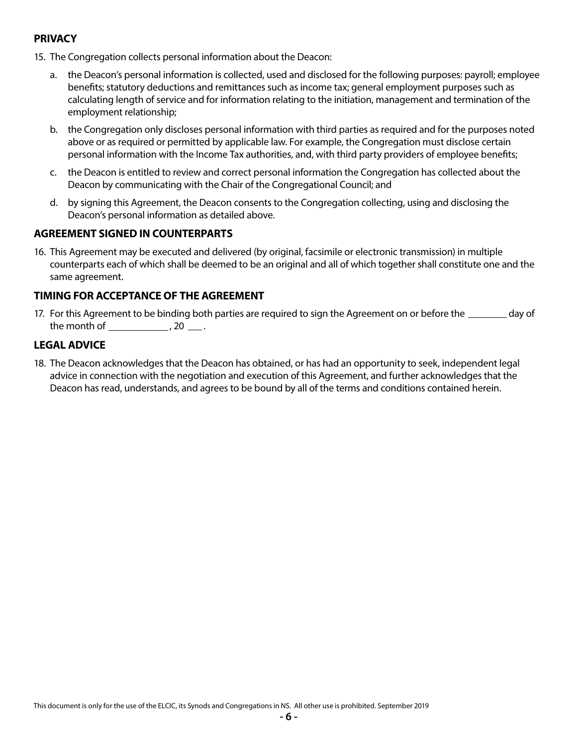# **PRIVACY**

- 15. The Congregation collects personal information about the Deacon:
	- a. the Deacon's personal information is collected, used and disclosed for the following purposes: payroll; employee benefits; statutory deductions and remittances such as income tax; general employment purposes such as calculating length of service and for information relating to the initiation, management and termination of the employment relationship;
	- b. the Congregation only discloses personal information with third parties as required and for the purposes noted above or as required or permitted by applicable law. For example, the Congregation must disclose certain personal information with the Income Tax authorities, and, with third party providers of employee benefits;
	- c. the Deacon is entitled to review and correct personal information the Congregation has collected about the Deacon by communicating with the Chair of the Congregational Council; and
	- d. by signing this Agreement, the Deacon consents to the Congregation collecting, using and disclosing the Deacon's personal information as detailed above.

## **AGREEMENT SIGNED IN COUNTERPARTS**

16. This Agreement may be executed and delivered (by original, facsimile or electronic transmission) in multiple counterparts each of which shall be deemed to be an original and all of which together shall constitute one and the same agreement.

## **TIMING FOR ACCEPTANCE OF THE AGREEMENT**

17. For this Agreement to be binding both parties are required to sign the Agreement on or before the same day of the month of  $\_\_\_\_\_\$ , 20  $\_\_\_\$ .

## **LEGAL ADVICE**

18. The Deacon acknowledges that the Deacon has obtained, or has had an opportunity to seek, independent legal advice in connection with the negotiation and execution of this Agreement, and further acknowledges that the Deacon has read, understands, and agrees to be bound by all of the terms and conditions contained herein.